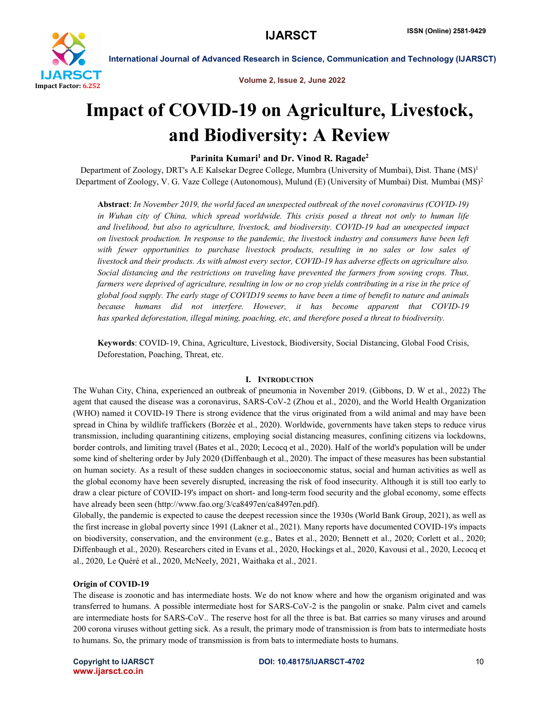

Volume 2, Issue 2, June 2022

# Impact of COVID-19 on Agriculture, Livestock, and Biodiversity: A Review

# Parinita Kumari<sup>1</sup> and Dr. Vinod R. Ragade<sup>2</sup>

Department of Zoology, DRT's A.E Kalsekar Degree College, Mumbra (University of Mumbai), Dist. Thane (MS)<sup>1</sup> Department of Zoology, V. G. Vaze College (Autonomous), Mulund (E) (University of Mumbai) Dist. Mumbai (MS)<sup>2</sup>

Abstract: *In November 2019, the world faced an unexpected outbreak of the novel coronavirus (COVID-19) in Wuhan city of China, which spread worldwide. This crisis posed a threat not only to human life and livelihood, but also to agriculture, livestock, and biodiversity. COVID-19 had an unexpected impact on livestock production. In response to the pandemic, the livestock industry and consumers have been left with fewer opportunities to purchase livestock products, resulting in no sales or low sales of livestock and their products. As with almost every sector, COVID-19 has adverse effects on agriculture also. Social distancing and the restrictions on traveling have prevented the farmers from sowing crops. Thus, farmers were deprived of agriculture, resulting in low or no crop yields contributing in a rise in the price of global food supply. The early stage of COVID19 seems to have been a time of benefit to nature and animals because humans did not interfere. However, it has become apparent that COVID-19 has sparked deforestation, illegal mining, poaching, etc, and therefore posed a threat to biodiversity.*

Keywords: COVID-19, China, Agriculture, Livestock, Biodiversity, Social Distancing, Global Food Crisis, Deforestation, Poaching, Threat, etc.

### I. INTRODUCTION

The Wuhan City, China, experienced an outbreak of pneumonia in November 2019. (Gibbons, D. W et al., 2022) The agent that caused the disease was a coronavirus, SARS-CoV-2 (Zhou et al., 2020), and the World Health Organization (WHO) named it COVID-19 There is strong evidence that the virus originated from a wild animal and may have been spread in China by wildlife traffickers (Borzée et al., 2020). Worldwide, governments have taken steps to reduce virus transmission, including quarantining citizens, employing social distancing measures, confining citizens via lockdowns, border controls, and limiting travel (Bates et al., 2020; Lecocq et al., 2020). Half of the world's population will be under some kind of sheltering order by July 2020 (Diffenbaugh et al., 2020). The impact of these measures has been substantial on human society. As a result of these sudden changes in socioeconomic status, social and human activities as well as the global economy have been severely disrupted, increasing the risk of food insecurity. Although it is still too early to draw a clear picture of COVID-19's impact on short- and long-term food security and the global economy, some effects have already been seen (http://www.fao.org/3/ca8497en/ca8497en.pdf).

Globally, the pandemic is expected to cause the deepest recession since the 1930s (World Bank Group, 2021), as well as the first increase in global poverty since 1991 (Lakner et al., 2021). Many reports have documented COVID-19's impacts on biodiversity, conservation, and the environment (e.g., Bates et al., 2020; Bennett et al., 2020; Corlett et al., 2020; Diffenbaugh et al., 2020). Researchers cited in Evans et al., 2020, Hockings et al., 2020, Kavousi et al., 2020, Lecocq et al., 2020, Le Quéré et al., 2020, McNeely, 2021, Waithaka et al., 2021.

# Origin of COVID-19

The disease is zoonotic and has intermediate hosts. We do not know where and how the organism originated and was transferred to humans. A possible intermediate host for SARS-CoV-2 is the pangolin or snake. Palm civet and camels are intermediate hosts for SARS-CoV.. The reserve host for all the three is bat. Bat carries so many viruses and around 200 corona viruses without getting sick. As a result, the primary mode of transmission is from bats to intermediate hosts to humans. So, the primary mode of transmission is from bats to intermediate hosts to humans.

www.ijarsct.co.in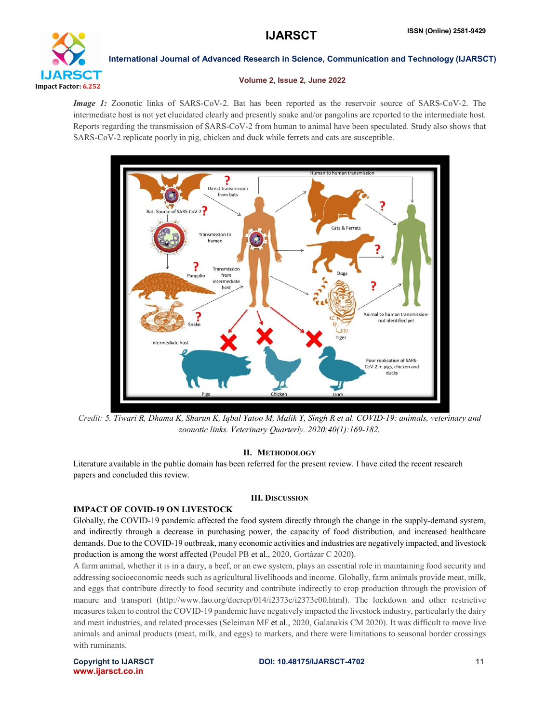

### Volume 2, Issue 2, June 2022

*Image 1:* Zoonotic links of SARS-CoV-2. Bat has been reported as the reservoir source of SARS-CoV-2. The intermediate host is not yet elucidated clearly and presently snake and/or pangolins are reported to the intermediate host. Reports regarding the transmission of SARS-CoV-2 from human to animal have been speculated. Study also shows that SARS-CoV-2 replicate poorly in pig, chicken and duck while ferrets and cats are susceptible.



*Credit: 5. Tiwari R, Dhama K, Sharun K, Iqbal Yatoo M, Malik Y, Singh R et al. COVID-19: animals, veterinary and zoonotic links. Veterinary Quarterly. 2020;40(1):169-182.*

# II. METHODOLOGY

Literature available in the public domain has been referred for the present review. I have cited the recent research papers and concluded this review.

### III. DISCUSSION

# IMPACT OF COVID-19 ON LIVESTOCK

Globally, the COVID-19 pandemic affected the food system directly through the change in the supply-demand system, and indirectly through a decrease in purchasing power, the capacity of food distribution, and increased healthcare demands. Due to the COVID-19 outbreak, many economic activities and industries are negatively impacted, and livestock production is among the worst affected (Poudel PB et al., 2020, Gortázar C 2020).

A farm animal, whether it is in a dairy, a beef, or an ewe system, plays an essential role in maintaining food security and addressing socioeconomic needs such as agricultural livelihoods and income. Globally, farm animals provide meat, milk, and eggs that contribute directly to food security and contribute indirectly to crop production through the provision of manure and transport (http://www.fao.org/docrep/014/i2373e/i2373e00.html). The lockdown and other restrictive measures taken to control the COVID-19 pandemic have negatively impacted the livestock industry, particularly the dairy and meat industries, and related processes (Seleiman MF et al., 2020, Galanakis CM 2020). It was difficult to move live animals and animal products (meat, milk, and eggs) to markets, and there were limitations to seasonal border crossings with ruminants.

www.ijarsct.co.in

### Copyright to IJARSCT DOI: 10.48175/IJARSCT-4702 11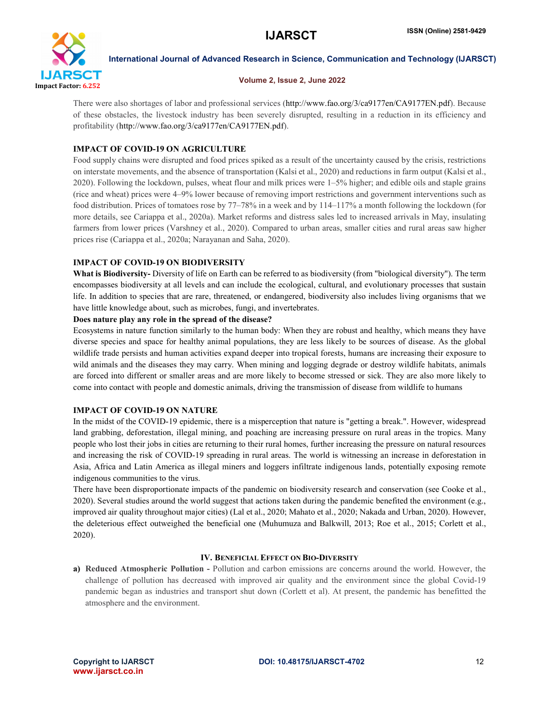

### Volume 2, Issue 2, June 2022

There were also shortages of labor and professional services (http://www.fao.org/3/ca9177en/CA9177EN.pdf). Because of these obstacles, the livestock industry has been severely disrupted, resulting in a reduction in its efficiency and profitability (http://www.fao.org/3/ca9177en/CA9177EN.pdf).

# IMPACT OF COVID-19 ON AGRICULTURE

Food supply chains were disrupted and food prices spiked as a result of the uncertainty caused by the crisis, restrictions on interstate movements, and the absence of transportation (Kalsi et al., 2020) and reductions in farm output (Kalsi et al., 2020). Following the lockdown, pulses, wheat flour and milk prices were 1–5% higher; and edible oils and staple grains (rice and wheat) prices were 4–9% lower because of removing import restrictions and government interventions such as food distribution. Prices of tomatoes rose by 77–78% in a week and by 114–117% a month following the lockdown (for more details, see Cariappa et al., 2020a). Market reforms and distress sales led to increased arrivals in May, insulating farmers from lower prices (Varshney et al., 2020). Compared to urban areas, smaller cities and rural areas saw higher prices rise (Cariappa et al., 2020a; Narayanan and Saha, 2020).

### IMPACT OF COVID-19 ON BIODIVERSITY

What is Biodiversity- Diversity of life on Earth can be referred to as biodiversity (from "biological diversity"). The term encompasses biodiversity at all levels and can include the ecological, cultural, and evolutionary processes that sustain life. In addition to species that are rare, threatened, or endangered, biodiversity also includes living organisms that we have little knowledge about, such as microbes, fungi, and invertebrates.

### Does nature play any role in the spread of the disease?

Ecosystems in nature function similarly to the human body: When they are robust and healthy, which means they have diverse species and space for healthy animal populations, they are less likely to be sources of disease. As the global wildlife trade persists and human activities expand deeper into tropical forests, humans are increasing their exposure to wild animals and the diseases they may carry. When mining and logging degrade or destroy wildlife habitats, animals are forced into different or smaller areas and are more likely to become stressed or sick. They are also more likely to come into contact with people and domestic animals, driving the transmission of disease from wildlife to humans

### IMPACT OF COVID-19 ON NATURE

In the midst of the COVID-19 epidemic, there is a misperception that nature is "getting a break.". However, widespread land grabbing, deforestation, illegal mining, and poaching are increasing pressure on rural areas in the tropics. Many people who lost their jobs in cities are returning to their rural homes, further increasing the pressure on natural resources and increasing the risk of COVID-19 spreading in rural areas. The world is witnessing an increase in deforestation in Asia, Africa and Latin America as illegal miners and loggers infiltrate indigenous lands, potentially exposing remote indigenous communities to the virus.

There have been disproportionate impacts of the pandemic on biodiversity research and conservation (see Cooke et al., 2020). Several studies around the world suggest that actions taken during the pandemic benefited the environment (e.g., improved air quality throughout major cities) (Lal et al., 2020; Mahato et al., 2020; Nakada and Urban, 2020). However, the deleterious effect outweighed the beneficial one (Muhumuza and Balkwill, 2013; Roe et al., 2015; Corlett et al., 2020).

# IV. BENEFICIAL EFFECT ON BIO-DIVERSITY

a) Reduced Atmospheric Pollution - Pollution and carbon emissions are concerns around the world. However, the challenge of pollution has decreased with improved air quality and the environment since the global Covid-19 pandemic began as industries and transport shut down (Corlett et al). At present, the pandemic has benefitted the atmosphere and the environment.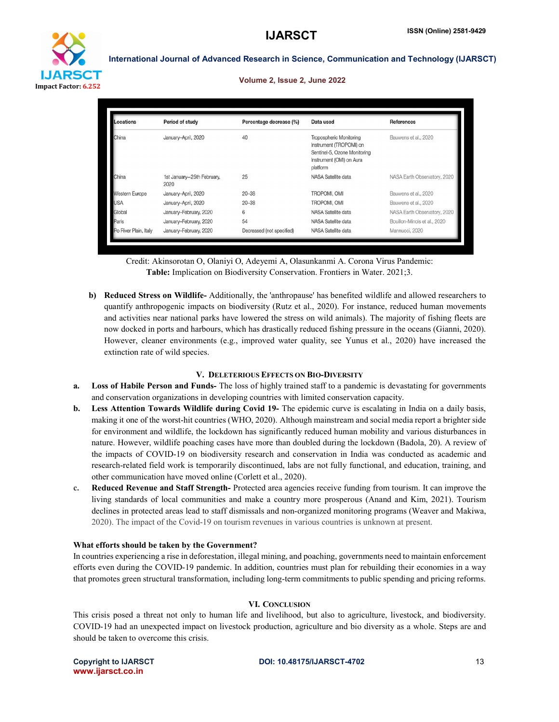

#### Volume 2, Issue 2, June 2022

| Locations             | Period of study                    | Percentage decrease (%)   | Data used                                                                                                                  | <b>References</b>            |
|-----------------------|------------------------------------|---------------------------|----------------------------------------------------------------------------------------------------------------------------|------------------------------|
| China                 | January-April, 2020                | 40                        | Tropospheric Monitoring<br>Instrument (TROPOMI) on<br>Sentinel-5, Ozone Monitoring<br>Instrument (OMI) on Aura<br>platform | Bauwens et al., 2020         |
| China                 | 1st January-25th February,<br>2020 | 25                        | NASA Satellite data                                                                                                        | NASA Earth Observatory, 2020 |
| <b>Western Europe</b> | January-April, 2020                | $20 - 38$                 | TROPOMI, OMI                                                                                                               | Bauwens et al., 2020         |
| <b>USA</b>            | January-April, 2020                | $20 - 38$                 | TROPOMI, OMI                                                                                                               | Bauwens et al., 2020         |
| Global                | January-February, 2020             | 6                         | NASA Satellite data                                                                                                        | NASA Earth Observatory, 2020 |
| Paris                 | January-February, 2020             | 54                        | NASA Satellite data                                                                                                        | Bouillon-Minois et al., 2020 |
| Po River Plain, Italy | January-February, 2020             | Decreased (not specified) | NASA Satellite data                                                                                                        | Mannucci, 2020               |

Credit: Akinsorotan O, Olaniyi O, Adeyemi A, Olasunkanmi A. Corona Virus Pandemic: Table: Implication on Biodiversity Conservation. Frontiers in Water. 2021;3.

b) Reduced Stress on Wildlife- Additionally, the 'anthropause' has benefited wildlife and allowed researchers to quantify anthropogenic impacts on biodiversity (Rutz et al., 2020). For instance, reduced human movements and activities near national parks have lowered the stress on wild animals). The majority of fishing fleets are now docked in ports and harbours, which has drastically reduced fishing pressure in the oceans (Gianni, 2020). However, cleaner environments (e.g., improved water quality, see Yunus et al., 2020) have increased the extinction rate of wild species.

### V. DELETERIOUS EFFECTS ON BIO-DIVERSITY

- a. Loss of Habile Person and Funds- The loss of highly trained staff to a pandemic is devastating for governments and conservation organizations in developing countries with limited conservation capacity.
- b. Less Attention Towards Wildlife during Covid 19- The epidemic curve is escalating in India on a daily basis, making it one of the worst-hit countries (WHO, 2020). Although mainstream and social media report a brighter side for environment and wildlife, the lockdown has significantly reduced human mobility and various disturbances in nature. However, wildlife poaching cases have more than doubled during the lockdown (Badola, 20). A review of the impacts of COVID-19 on biodiversity research and conservation in India was conducted as academic and research-related field work is temporarily discontinued, labs are not fully functional, and education, training, and other communication have moved online (Corlett et al., 2020).
- c. Reduced Revenue and Staff Strength- Protected area agencies receive funding from tourism. It can improve the living standards of local communities and make a country more prosperous (Anand and Kim, 2021). Tourism declines in protected areas lead to staff dismissals and non-organized monitoring programs (Weaver and Makiwa, 2020). The impact of the Covid-19 on tourism revenues in various countries is unknown at present.

### What efforts should be taken by the Government?

In countries experiencing a rise in deforestation, illegal mining, and poaching, governments need to maintain enforcement efforts even during the COVID-19 pandemic. In addition, countries must plan for rebuilding their economies in a way that promotes green structural transformation, including long-term commitments to public spending and pricing reforms.

### VI. CONCLUSION

This crisis posed a threat not only to human life and livelihood, but also to agriculture, livestock, and biodiversity. COVID-19 had an unexpected impact on livestock production, agriculture and bio diversity as a whole. Steps are and should be taken to overcome this crisis.

www.ijarsct.co.in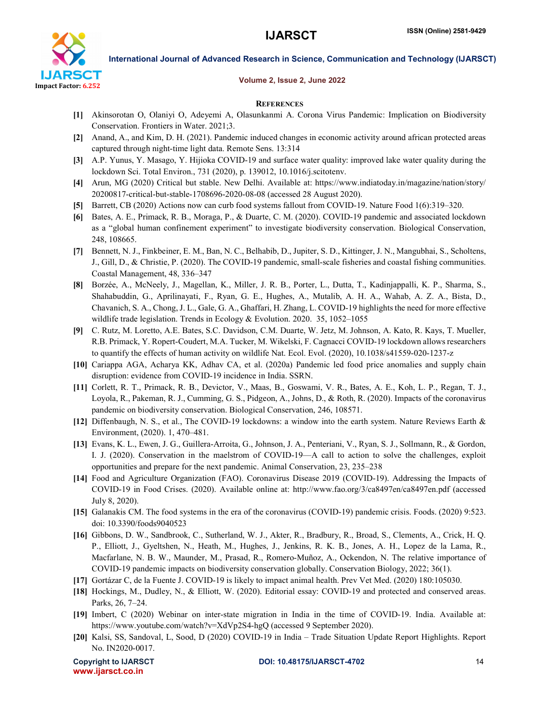

#### Volume 2, Issue 2, June 2022

#### **REFERENCES**

- [1] Akinsorotan O, Olaniyi O, Adeyemi A, Olasunkanmi A. Corona Virus Pandemic: Implication on Biodiversity Conservation. Frontiers in Water. 2021;3.
- [2] Anand, A., and Kim, D. H. (2021). Pandemic induced changes in economic activity around african protected areas captured through night-time light data. Remote Sens. 13:314
- [3] A.P. Yunus, Y. Masago, Y. Hijioka COVID-19 and surface water quality: improved lake water quality during the lockdown Sci. Total Environ., 731 (2020), p. 139012, 10.1016/j.scitotenv.
- [4] Arun, MG (2020) Critical but stable. New Delhi. Available at: https://www.indiatoday.in/magazine/nation/story/ 20200817-critical-but-stable-1708696-2020-08-08 (accessed 28 August 2020).
- [5] Barrett, CB (2020) Actions now can curb food systems fallout from COVID-19. Nature Food 1(6):319–320.
- [6] Bates, A. E., Primack, R. B., Moraga, P., & Duarte, C. M. (2020). COVID-19 pandemic and associated lockdown as a "global human confinement experiment" to investigate biodiversity conservation. Biological Conservation, 248, 108665.
- [7] Bennett, N. J., Finkbeiner, E. M., Ban, N. C., Belhabib, D., Jupiter, S. D., Kittinger, J. N., Mangubhai, S., Scholtens, J., Gill, D., & Christie, P. (2020). The COVID-19 pandemic, small-scale fisheries and coastal fishing communities. Coastal Management, 48, 336–347
- [8] Borzée, A., McNeely, J., Magellan, K., Miller, J. R. B., Porter, L., Dutta, T., Kadinjappalli, K. P., Sharma, S., Shahabuddin, G., Aprilinayati, F., Ryan, G. E., Hughes, A., Mutalib, A. H. A., Wahab, A. Z. A., Bista, D., Chavanich, S. A., Chong, J. L., Gale, G. A., Ghaffari, H. Zhang, L. COVID-19 highlights the need for more effective wildlife trade legislation. Trends in Ecology & Evolution. 2020. 35, 1052–1055
- [9] C. Rutz, M. Loretto, A.E. Bates, S.C. Davidson, C.M. Duarte, W. Jetz, M. Johnson, A. Kato, R. Kays, T. Mueller, R.B. Primack, Y. Ropert-Coudert, M.A. Tucker, M. Wikelski, F. Cagnacci COVID-19 lockdown allows researchers to quantify the effects of human activity on wildlife Nat. Ecol. Evol. (2020), 10.1038/s41559-020-1237-z
- [10] Cariappa AGA, Acharya KK, Adhav CA, et al. (2020a) Pandemic led food price anomalies and supply chain disruption: evidence from COVID-19 incidence in India. SSRN.
- [11] Corlett, R. T., Primack, R. B., Devictor, V., Maas, B., Goswami, V. R., Bates, A. E., Koh, L. P., Regan, T. J., Loyola, R., Pakeman, R. J., Cumming, G. S., Pidgeon, A., Johns, D., & Roth, R. (2020). Impacts of the coronavirus pandemic on biodiversity conservation. Biological Conservation, 246, 108571.
- [12] Diffenbaugh, N. S., et al., The COVID-19 lockdowns: a window into the earth system. Nature Reviews Earth & Environment, (2020). 1, 470–481.
- [13] Evans, K. L., Ewen, J. G., Guillera-Arroita, G., Johnson, J. A., Penteriani, V., Ryan, S. J., Sollmann, R., & Gordon, I. J. (2020). Conservation in the maelstrom of COVID-19—A call to action to solve the challenges, exploit opportunities and prepare for the next pandemic. Animal Conservation, 23, 235–238
- [14] Food and Agriculture Organization (FAO). Coronavirus Disease 2019 (COVID-19). Addressing the Impacts of COVID-19 in Food Crises. (2020). Available online at: http://www.fao.org/3/ca8497en/ca8497en.pdf (accessed July 8, 2020).
- [15] Galanakis CM. The food systems in the era of the coronavirus (COVID-19) pandemic crisis. Foods. (2020) 9:523. doi: 10.3390/foods9040523
- [16] Gibbons, D. W., Sandbrook, C., Sutherland, W. J., Akter, R., Bradbury, R., Broad, S., Clements, A., Crick, H. Q. P., Elliott, J., Gyeltshen, N., Heath, M., Hughes, J., Jenkins, R. K. B., Jones, A. H., Lopez de la Lama, R., Macfarlane, N. B. W., Maunder, M., Prasad, R., Romero-Muñoz, A., Ockendon, N. The relative importance of COVID-19 pandemic impacts on biodiversity conservation globally. Conservation Biology, 2022; 36(1).
- [17] Gortázar C, de la Fuente J. COVID-19 is likely to impact animal health. Prev Vet Med. (2020) 180:105030.
- [18] Hockings, M., Dudley, N., & Elliott, W. (2020). Editorial essay: COVID-19 and protected and conserved areas. Parks, 26, 7–24.
- [19] Imbert, C (2020) Webinar on inter-state migration in India in the time of COVID-19. India. Available at: https://www.youtube.com/watch?v=XdVp2S4-hgQ (accessed 9 September 2020).
- [20] Kalsi, SS, Sandoval, L, Sood, D (2020) COVID-19 in India Trade Situation Update Report Highlights. Report No. IN2020-0017.